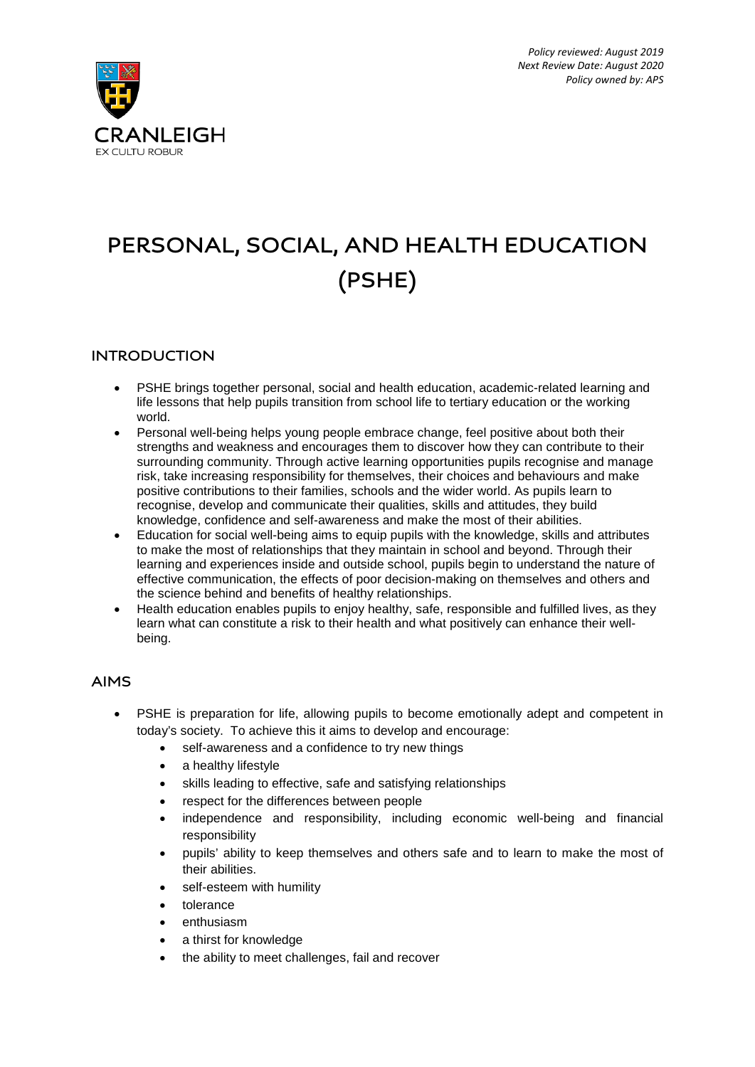

# **PERSONAL, SOCIAL, AND HEALTH EDUCATION (PSHE)**

## **INTRODUCTION**

- PSHE brings together personal, social and health education, academic-related learning and life lessons that help pupils transition from school life to tertiary education or the working world.
- Personal well-being helps young people embrace change, feel positive about both their strengths and weakness and encourages them to discover how they can contribute to their surrounding community. Through active learning opportunities pupils recognise and manage risk, take increasing responsibility for themselves, their choices and behaviours and make positive contributions to their families, schools and the wider world. As pupils learn to recognise, develop and communicate their qualities, skills and attitudes, they build knowledge, confidence and self-awareness and make the most of their abilities.
- Education for social well-being aims to equip pupils with the knowledge, skills and attributes to make the most of relationships that they maintain in school and beyond. Through their learning and experiences inside and outside school, pupils begin to understand the nature of effective communication, the effects of poor decision-making on themselves and others and the science behind and benefits of healthy relationships.
- Health education enables pupils to enjoy healthy, safe, responsible and fulfilled lives, as they learn what can constitute a risk to their health and what positively can enhance their wellbeing.

### **AIMS**

- PSHE is preparation for life, allowing pupils to become emotionally adept and competent in today's society. To achieve this it aims to develop and encourage:
	- self-awareness and a confidence to try new things
	- a healthy lifestyle
	- skills leading to effective, safe and satisfying relationships
	- respect for the differences between people
	- independence and responsibility, including economic well-being and financial responsibility
	- pupils' ability to keep themselves and others safe and to learn to make the most of their abilities.
	- self-esteem with humility
	- tolerance
	- enthusiasm
	- a thirst for knowledge
	- the ability to meet challenges, fail and recover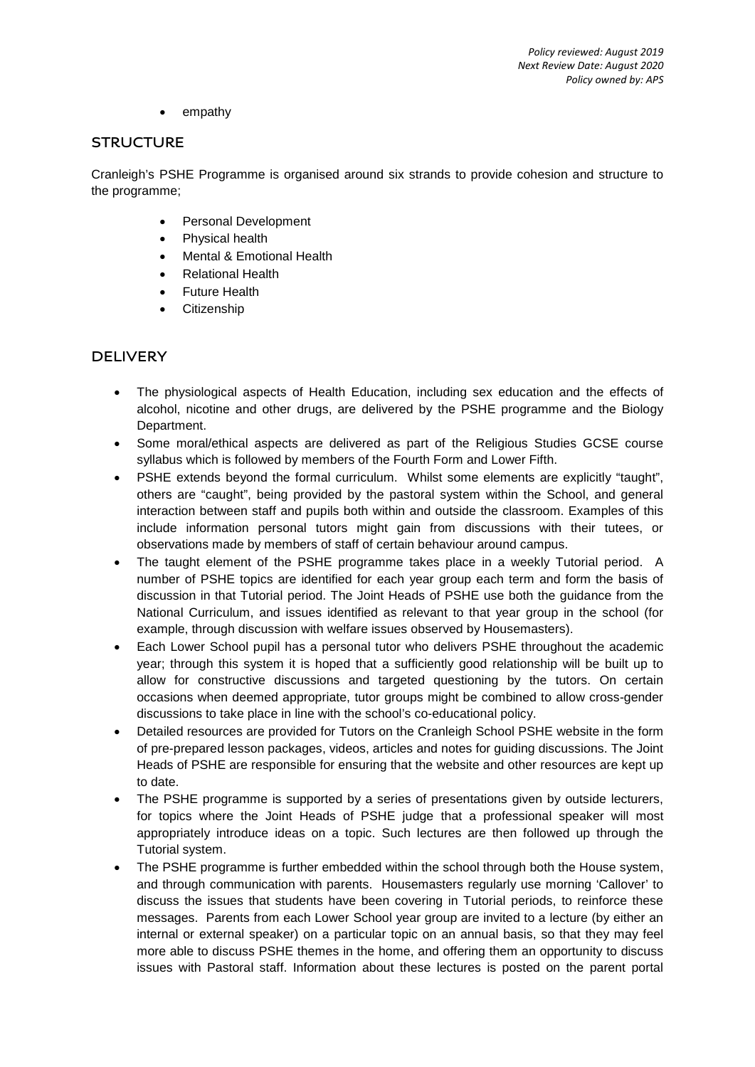• empathy

#### **STRUCTURE**

Cranleigh's PSHE Programme is organised around six strands to provide cohesion and structure to the programme;

- Personal Development
- Physical health
- Mental & Emotional Health
- Relational Health
- **Future Health**
- Citizenship

## **DELIVERY**

- The physiological aspects of Health Education, including sex education and the effects of alcohol, nicotine and other drugs, are delivered by the PSHE programme and the Biology Department.
- Some moral/ethical aspects are delivered as part of the Religious Studies GCSE course syllabus which is followed by members of the Fourth Form and Lower Fifth.
- PSHE extends beyond the formal curriculum. Whilst some elements are explicitly "taught", others are "caught", being provided by the pastoral system within the School, and general interaction between staff and pupils both within and outside the classroom. Examples of this include information personal tutors might gain from discussions with their tutees, or observations made by members of staff of certain behaviour around campus.
- The taught element of the PSHE programme takes place in a weekly Tutorial period. A number of PSHE topics are identified for each year group each term and form the basis of discussion in that Tutorial period. The Joint Heads of PSHE use both the guidance from the National Curriculum, and issues identified as relevant to that year group in the school (for example, through discussion with welfare issues observed by Housemasters).
- Each Lower School pupil has a personal tutor who delivers PSHE throughout the academic year; through this system it is hoped that a sufficiently good relationship will be built up to allow for constructive discussions and targeted questioning by the tutors. On certain occasions when deemed appropriate, tutor groups might be combined to allow cross-gender discussions to take place in line with the school's co-educational policy.
- Detailed resources are provided for Tutors on the Cranleigh School PSHE website in the form of pre-prepared lesson packages, videos, articles and notes for guiding discussions. The Joint Heads of PSHE are responsible for ensuring that the website and other resources are kept up to date.
- The PSHE programme is supported by a series of presentations given by outside lecturers, for topics where the Joint Heads of PSHE judge that a professional speaker will most appropriately introduce ideas on a topic. Such lectures are then followed up through the Tutorial system.
- The PSHE programme is further embedded within the school through both the House system, and through communication with parents. Housemasters regularly use morning 'Callover' to discuss the issues that students have been covering in Tutorial periods, to reinforce these messages. Parents from each Lower School year group are invited to a lecture (by either an internal or external speaker) on a particular topic on an annual basis, so that they may feel more able to discuss PSHE themes in the home, and offering them an opportunity to discuss issues with Pastoral staff. Information about these lectures is posted on the parent portal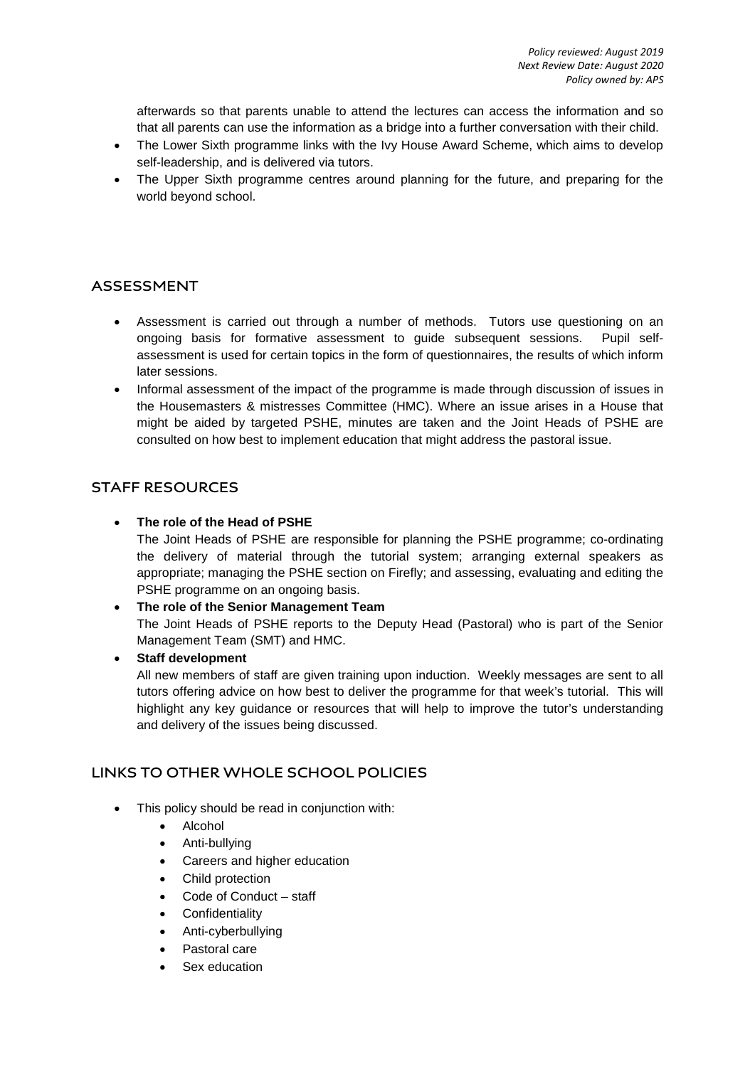afterwards so that parents unable to attend the lectures can access the information and so that all parents can use the information as a bridge into a further conversation with their child.

- The Lower Sixth programme links with the Ivy House Award Scheme, which aims to develop self-leadership, and is delivered via tutors.
- The Upper Sixth programme centres around planning for the future, and preparing for the world beyond school.

## **ASSESSMENT**

- Assessment is carried out through a number of methods. Tutors use questioning on an ongoing basis for formative assessment to guide subsequent sessions. Pupil selfassessment is used for certain topics in the form of questionnaires, the results of which inform later sessions.
- Informal assessment of the impact of the programme is made through discussion of issues in the Housemasters & mistresses Committee (HMC). Where an issue arises in a House that might be aided by targeted PSHE, minutes are taken and the Joint Heads of PSHE are consulted on how best to implement education that might address the pastoral issue.

### **STAFF RESOURCES**

### • **The role of the Head of PSHE**

The Joint Heads of PSHE are responsible for planning the PSHE programme; co-ordinating the delivery of material through the tutorial system; arranging external speakers as appropriate; managing the PSHE section on Firefly; and assessing, evaluating and editing the PSHE programme on an ongoing basis.

• **The role of the Senior Management Team**  The Joint Heads of PSHE reports to the Deputy Head (Pastoral) who is part of the Senior Management Team (SMT) and HMC.

• **Staff development**

All new members of staff are given training upon induction. Weekly messages are sent to all tutors offering advice on how best to deliver the programme for that week's tutorial. This will highlight any key guidance or resources that will help to improve the tutor's understanding and delivery of the issues being discussed.

## **LINKS TO OTHER WHOLE SCHOOL POLICIES**

- This policy should be read in conjunction with:
	- Alcohol
	- Anti-bullying
	- Careers and higher education
	- Child protection
	- Code of Conduct staff
	- **Confidentiality**
	- Anti-cyberbullying
	- Pastoral care
	- Sex education